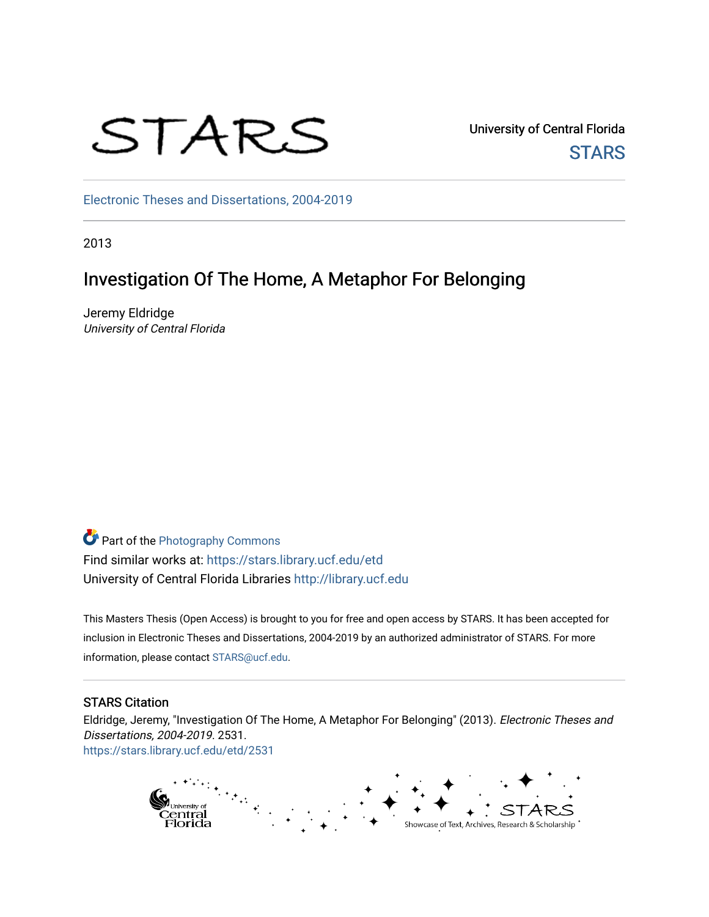

University of Central Florida **STARS** 

[Electronic Theses and Dissertations, 2004-2019](https://stars.library.ucf.edu/etd) 

2013

## Investigation Of The Home, A Metaphor For Belonging

Jeremy Eldridge University of Central Florida

Part of the [Photography Commons](http://network.bepress.com/hgg/discipline/1142?utm_source=stars.library.ucf.edu%2Fetd%2F2531&utm_medium=PDF&utm_campaign=PDFCoverPages) Find similar works at: <https://stars.library.ucf.edu/etd> University of Central Florida Libraries [http://library.ucf.edu](http://library.ucf.edu/) 

This Masters Thesis (Open Access) is brought to you for free and open access by STARS. It has been accepted for inclusion in Electronic Theses and Dissertations, 2004-2019 by an authorized administrator of STARS. For more information, please contact [STARS@ucf.edu.](mailto:STARS@ucf.edu)

#### STARS Citation

Eldridge, Jeremy, "Investigation Of The Home, A Metaphor For Belonging" (2013). Electronic Theses and Dissertations, 2004-2019. 2531. [https://stars.library.ucf.edu/etd/2531](https://stars.library.ucf.edu/etd/2531?utm_source=stars.library.ucf.edu%2Fetd%2F2531&utm_medium=PDF&utm_campaign=PDFCoverPages) 

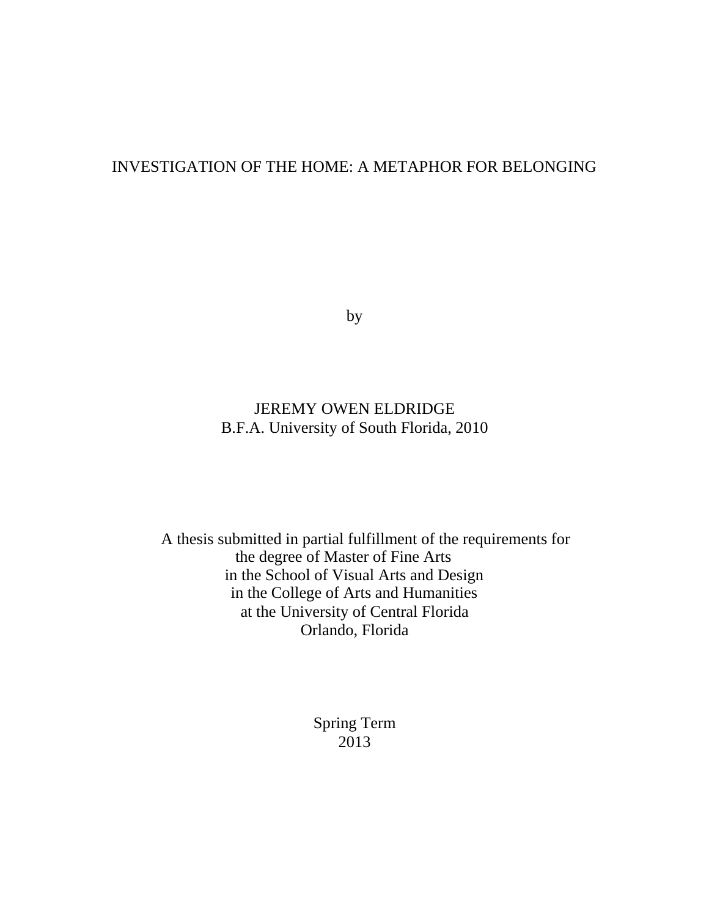### INVESTIGATION OF THE HOME: A METAPHOR FOR BELONGING

by

### JEREMY OWEN ELDRIDGE B.F.A. University of South Florida, 2010

A thesis submitted in partial fulfillment of the requirements for the degree of Master of Fine Arts in the School of Visual Arts and Design in the College of Arts and Humanities at the University of Central Florida Orlando, Florida

> Spring Term 2013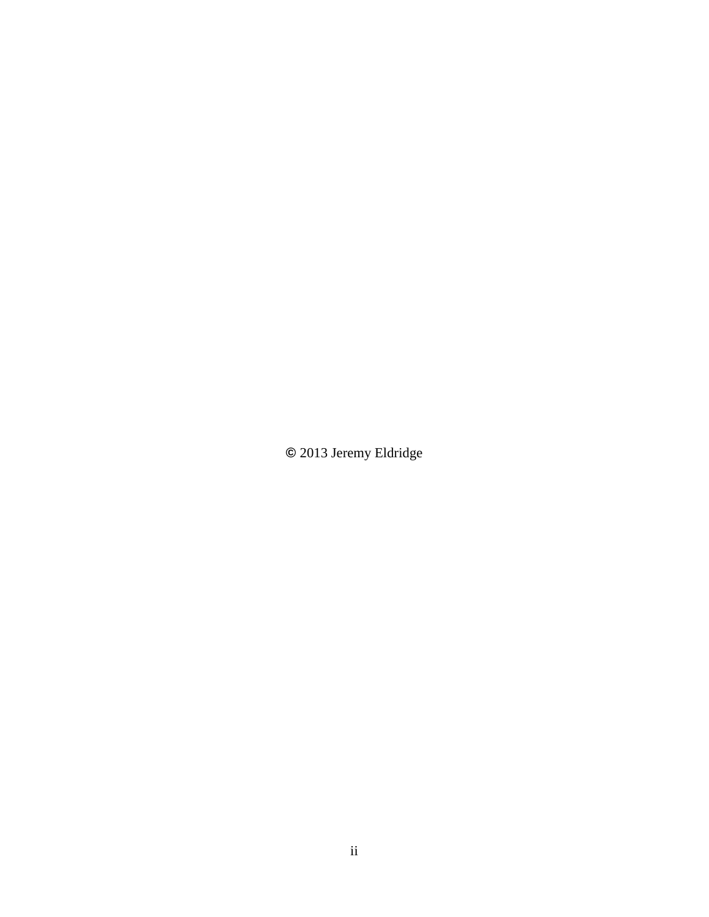**©** 2013 Jeremy Eldridge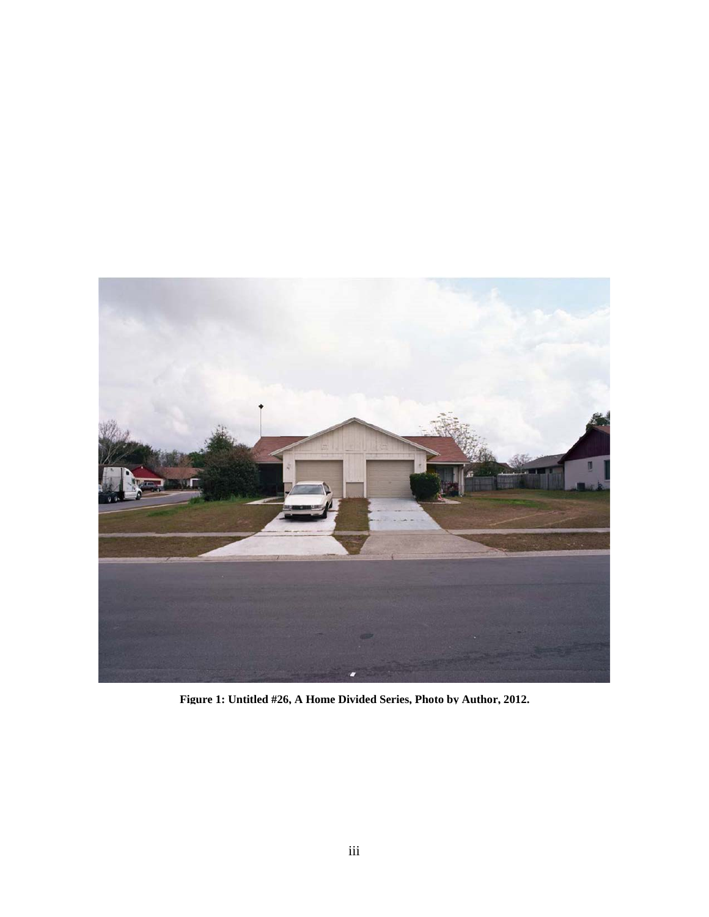<span id="page-3-0"></span>

**Figure 1: Untitled #26, A Home Divided Series, Photo by Author, 2012.**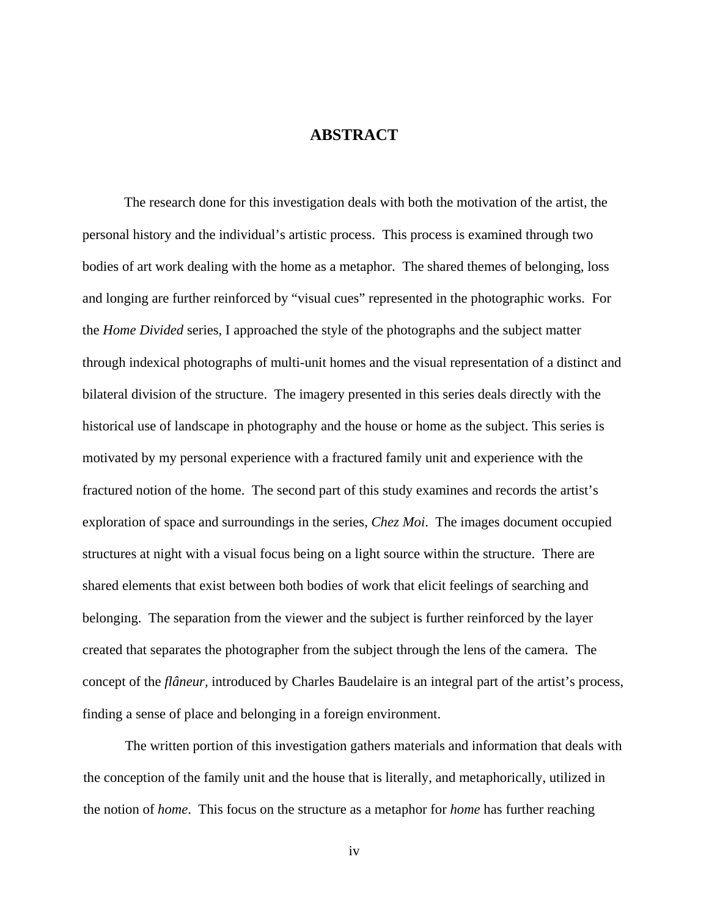#### **ABSTRACT**

The research done for this investigation deals with both the motivation of the artist, the personal history and the individual's artistic process. This process is examined through two bodies of art work dealing with the home as a metaphor. The shared themes of belonging, loss and longing are further reinforced by "visual cues" represented in the photographic works. For the *Home Divided* series, I approached the style of the photographs and the subject matter through indexical photographs of multi-unit homes and the visual representation of a distinct and bilateral division of the structure. The imagery presented in this series deals directly with the historical use of landscape in photography and the house or home as the subject. This series is motivated by my personal experience with a fractured family unit and experience with the fractured notion of the home. The second part of this study examines and records the artist's exploration of space and surroundings in the series, *Chez Moi*. The images document occupied structures at night with a visual focus being on a light source within the structure. There are shared elements that exist between both bodies of work that elicit feelings of searching and belonging. The separation from the viewer and the subject is further reinforced by the layer created that separates the photographer from the subject through the lens of the camera. The concept of the *flâneur,* introduced by Charles Baudelaire is an integral part of the artist's process, finding a sense of place and belonging in a foreign environment.

The written portion of this investigation gathers materials and information that deals with the conception of the family unit and the house that is literally, and metaphorically, utilized in the notion of *home*. This focus on the structure as a metaphor for *home* has further reaching

iv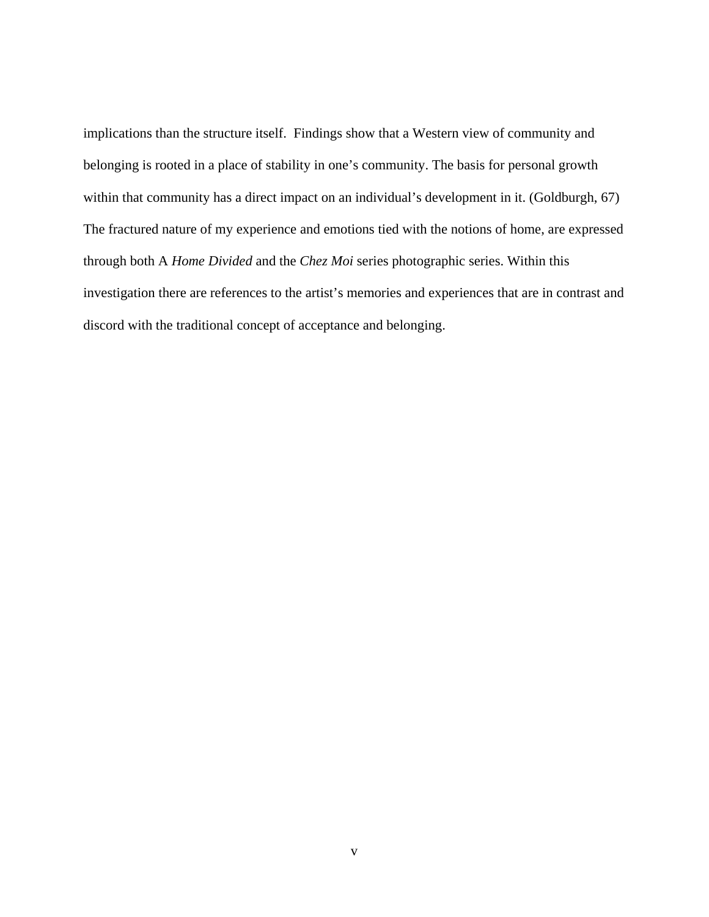implications than the structure itself. Findings show that a Western view of community and belonging is rooted in a place of stability in one's community. The basis for personal growth within that community has a direct impact on an individual's development in it. (Goldburgh, 67) The fractured nature of my experience and emotions tied with the notions of home, are expressed through both A *Home Divided* and the *Chez Moi* series photographic series. Within this investigation there are references to the artist's memories and experiences that are in contrast and discord with the traditional concept of acceptance and belonging.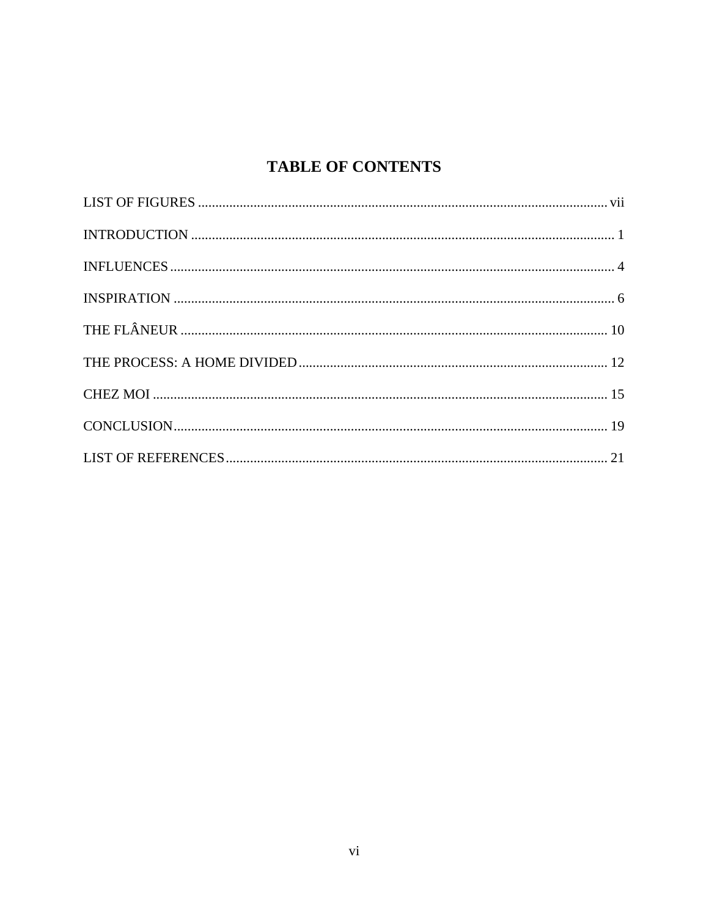# **TABLE OF CONTENTS**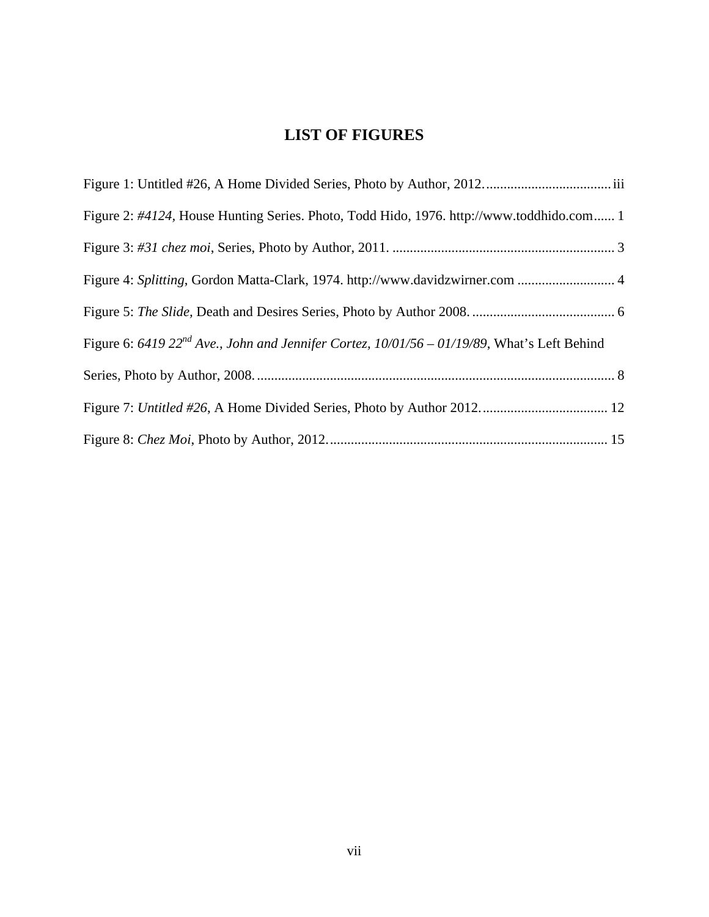### **LIST OF FIGURES**

<span id="page-7-0"></span>

| Figure 2: #4124, House Hunting Series. Photo, Todd Hido, 1976. http://www.toddhido.com 1            |  |
|-----------------------------------------------------------------------------------------------------|--|
|                                                                                                     |  |
|                                                                                                     |  |
|                                                                                                     |  |
| Figure 6: 6419 $22^{nd}$ Ave., John and Jennifer Cortez, $10/01/56 - 01/19/89$ , What's Left Behind |  |
|                                                                                                     |  |
|                                                                                                     |  |
|                                                                                                     |  |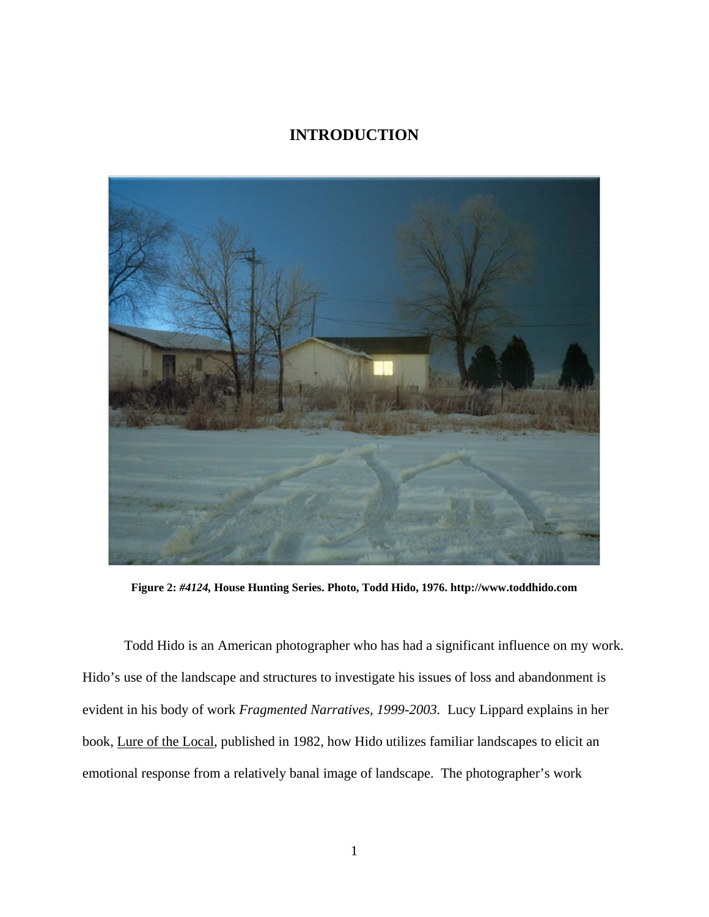### **INTRODUCTION**

<span id="page-8-0"></span>

**Figure 2:** *#4124,* **House Hunting Series. Photo, Todd Hido, 1976. [http://www.toddhido.com](http://www.toddhido.com/)**

Todd Hido is an American photographer who has had a significant influence on my work. Hido's use of the landscape and structures to investigate his issues of loss and abandonment is evident in his body of work *Fragmented Narratives, 1999-2003.* Lucy Lippard explains in her book, Lure of the Local, published in 1982, how Hido utilizes familiar landscapes to elicit an emotional response from a relatively banal image of landscape. The photographer's work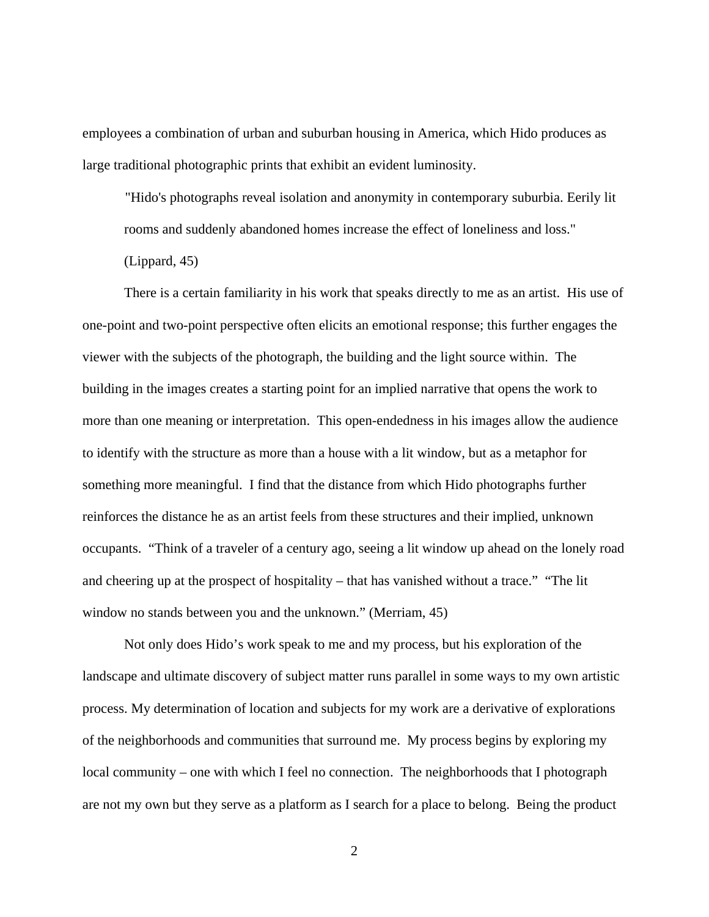employees a combination of urban and suburban housing in America, which Hido produces as large traditional photographic prints that exhibit an evident luminosity.

"Hido's photographs reveal isolation and anonymity in contemporary suburbia. Eerily lit rooms and suddenly abandoned homes increase the effect of loneliness and loss."

(Lippard, 45)

There is a certain familiarity in his work that speaks directly to me as an artist. His use of one-point and two-point perspective often elicits an emotional response; this further engages the viewer with the subjects of the photograph, the building and the light source within. The building in the images creates a starting point for an implied narrative that opens the work to more than one meaning or interpretation. This open-endedness in his images allow the audience to identify with the structure as more than a house with a lit window, but as a metaphor for something more meaningful. I find that the distance from which Hido photographs further reinforces the distance he as an artist feels from these structures and their implied, unknown occupants. "Think of a traveler of a century ago, seeing a lit window up ahead on the lonely road and cheering up at the prospect of hospitality – that has vanished without a trace." "The lit window no stands between you and the unknown." (Merriam, 45)

Not only does Hido's work speak to me and my process, but his exploration of the landscape and ultimate discovery of subject matter runs parallel in some ways to my own artistic process. My determination of location and subjects for my work are a derivative of explorations of the neighborhoods and communities that surround me. My process begins by exploring my local community – one with which I feel no connection. The neighborhoods that I photograph are not my own but they serve as a platform as I search for a place to belong. Being the product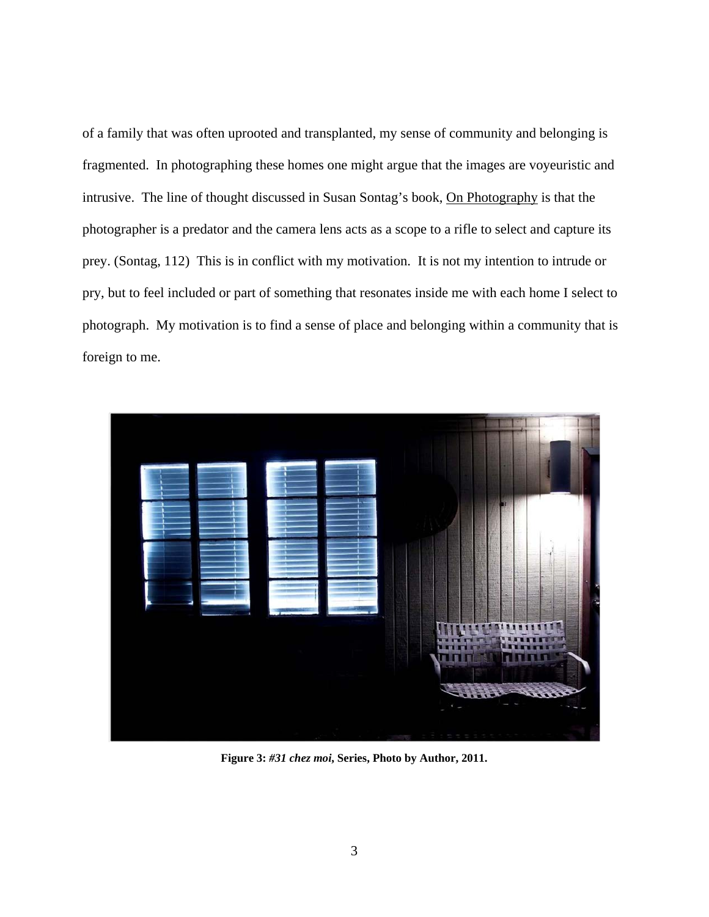<span id="page-10-0"></span>of a family that was often uprooted and transplanted, my sense of community and belonging is fragmented. In photographing these homes one might argue that the images are voyeuristic and intrusive. The line of thought discussed in Susan Sontag's book, On Photography is that the photographer is a predator and the camera lens acts as a scope to a rifle to select and capture its prey. (Sontag, 112) This is in conflict with my motivation. It is not my intention to intrude or pry, but to feel included or part of something that resonates inside me with each home I select to photograph. My motivation is to find a sense of place and belonging within a community that is foreign to me.



**Figure 3:** *#31 chez moi***, Series, Photo by Author, 2011.**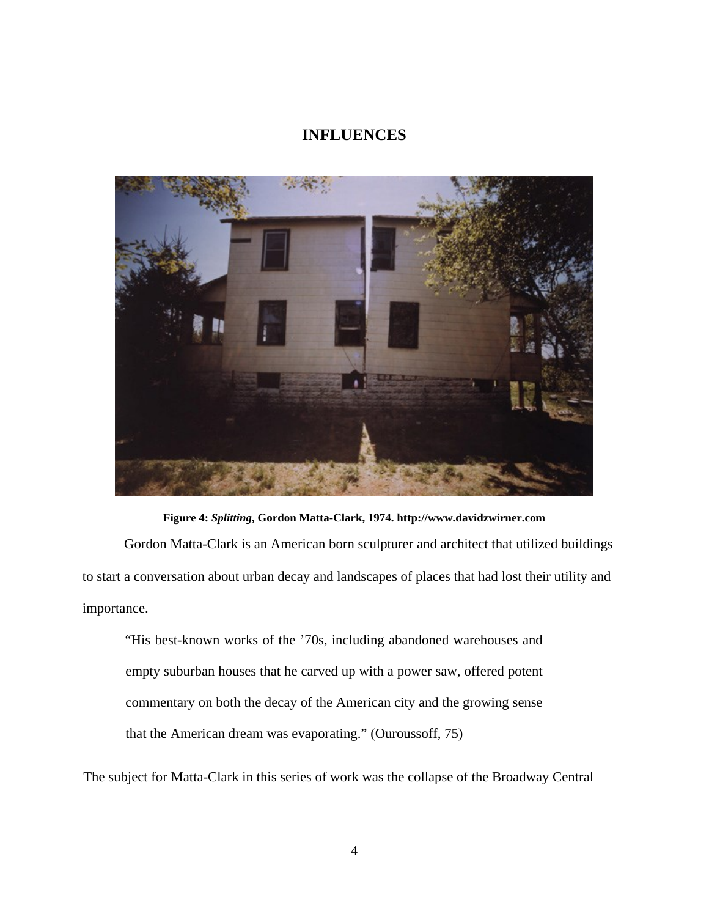### **INFLUENCES**

<span id="page-11-0"></span>

**Figure 4:** *Splitting***, Gordon Matta-Clark, 1974. http://www.davidzwirner.com**

Gordon Matta-Clark is an American born sculpturer and architect that utilized buildings to start a conversation about urban decay and landscapes of places that had lost their utility and importance.

"His best-known works of the '70s, including abandoned warehouses and empty suburban houses that he carved up with a power saw, offered potent commentary on both the decay of the American city and the growing sense that the American dream was evaporating." (Ouroussoff, 75)

The subject for Matta-Clark in this series of work was the collapse of the Broadway Central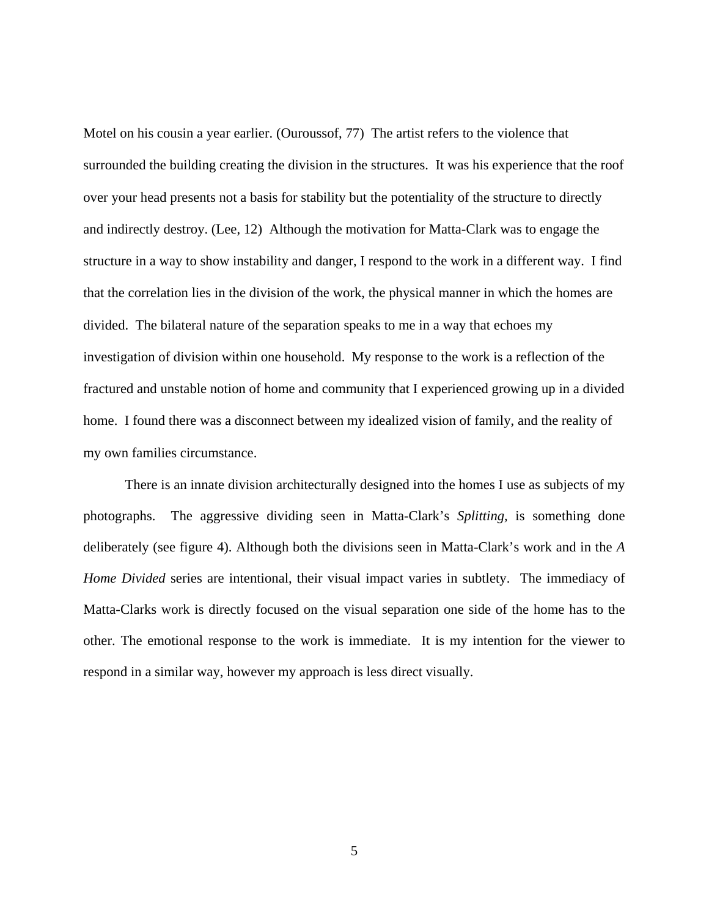Motel on his cousin a year earlier. (Ouroussof, 77) The artist refers to the violence that surrounded the building creating the division in the structures. It was his experience that the roof over your head presents not a basis for stability but the potentiality of the structure to directly and indirectly destroy. (Lee, 12) Although the motivation for Matta-Clark was to engage the structure in a way to show instability and danger, I respond to the work in a different way. I find that the correlation lies in the division of the work, the physical manner in which the homes are divided. The bilateral nature of the separation speaks to me in a way that echoes my investigation of division within one household. My response to the work is a reflection of the fractured and unstable notion of home and community that I experienced growing up in a divided home. I found there was a disconnect between my idealized vision of family, and the reality of my own families circumstance.

There is an innate division architecturally designed into the homes I use as subjects of my photographs. The aggressive dividing seen in Matta-Clark's *Splitting,* is something done deliberately (see figure 4). Although both the divisions seen in Matta-Clark's work and in the *A Home Divided* series are intentional, their visual impact varies in subtlety. The immediacy of Matta-Clarks work is directly focused on the visual separation one side of the home has to the other. The emotional response to the work is immediate. It is my intention for the viewer to respond in a similar way, however my approach is less direct visually.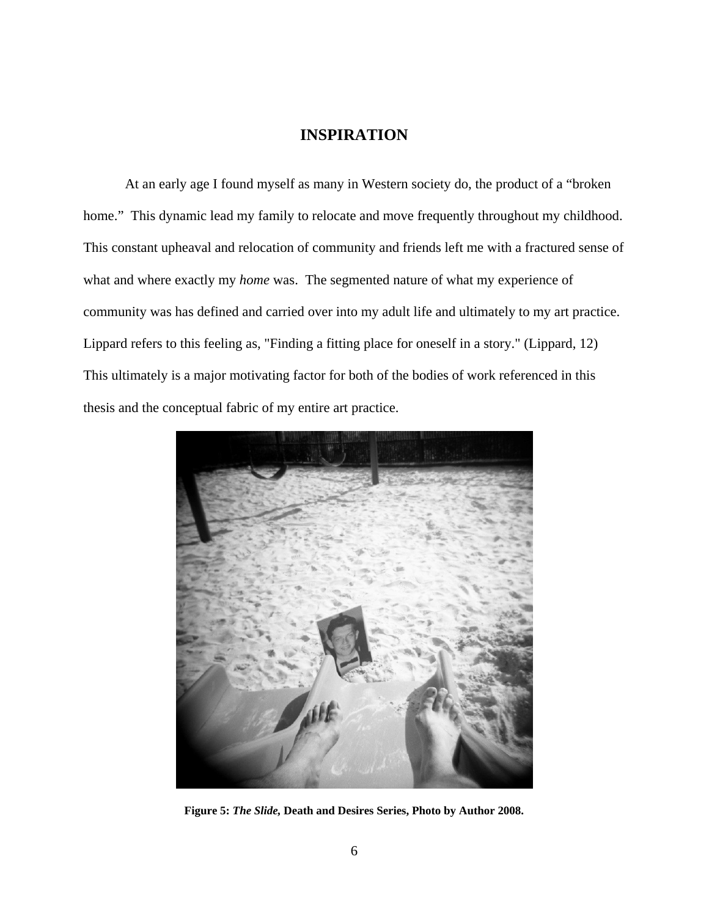### **INSPIRATION**

<span id="page-13-0"></span>At an early age I found myself as many in Western society do, the product of a "broken home." This dynamic lead my family to relocate and move frequently throughout my childhood. This constant upheaval and relocation of community and friends left me with a fractured sense of what and where exactly my *home* was. The segmented nature of what my experience of community was has defined and carried over into my adult life and ultimately to my art practice. Lippard refers to this feeling as, "Finding a fitting place for oneself in a story." (Lippard, 12) This ultimately is a major motivating factor for both of the bodies of work referenced in this thesis and the conceptual fabric of my entire art practice.



**Figure 5:** *The Slide,* **Death and Desires Series, Photo by Author 2008.**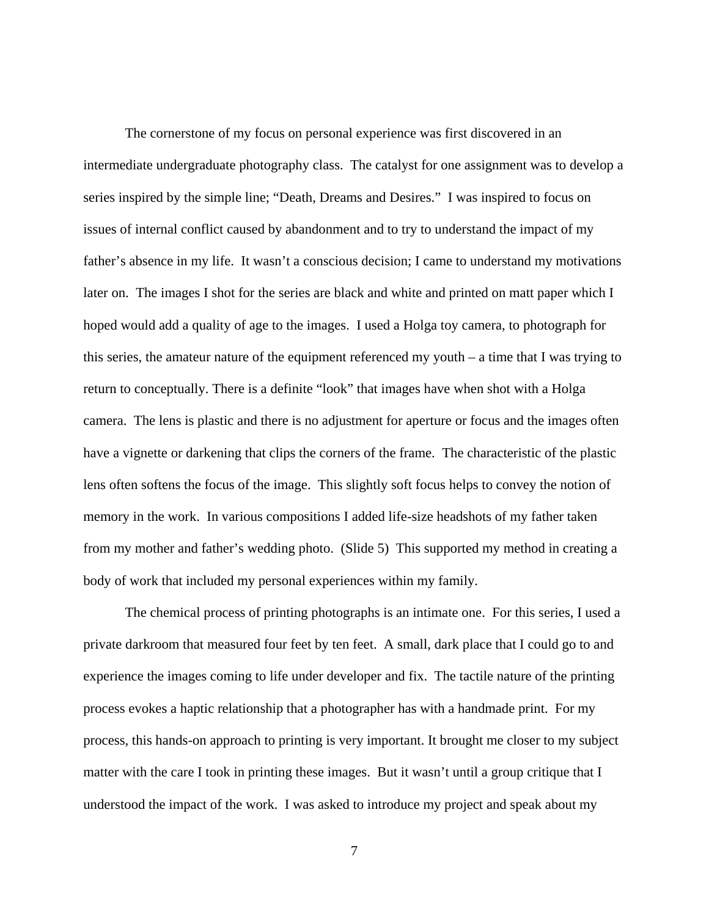The cornerstone of my focus on personal experience was first discovered in an intermediate undergraduate photography class. The catalyst for one assignment was to develop a series inspired by the simple line; "Death, Dreams and Desires." I was inspired to focus on issues of internal conflict caused by abandonment and to try to understand the impact of my father's absence in my life. It wasn't a conscious decision; I came to understand my motivations later on. The images I shot for the series are black and white and printed on matt paper which I hoped would add a quality of age to the images. I used a Holga toy camera, to photograph for this series, the amateur nature of the equipment referenced my youth – a time that I was trying to return to conceptually. There is a definite "look" that images have when shot with a Holga camera. The lens is plastic and there is no adjustment for aperture or focus and the images often have a vignette or darkening that clips the corners of the frame. The characteristic of the plastic lens often softens the focus of the image. This slightly soft focus helps to convey the notion of memory in the work. In various compositions I added life-size headshots of my father taken from my mother and father's wedding photo. (Slide 5) This supported my method in creating a body of work that included my personal experiences within my family.

The chemical process of printing photographs is an intimate one. For this series, I used a private darkroom that measured four feet by ten feet. A small, dark place that I could go to and experience the images coming to life under developer and fix. The tactile nature of the printing process evokes a haptic relationship that a photographer has with a handmade print. For my process, this hands-on approach to printing is very important. It brought me closer to my subject matter with the care I took in printing these images. But it wasn't until a group critique that I understood the impact of the work. I was asked to introduce my project and speak about my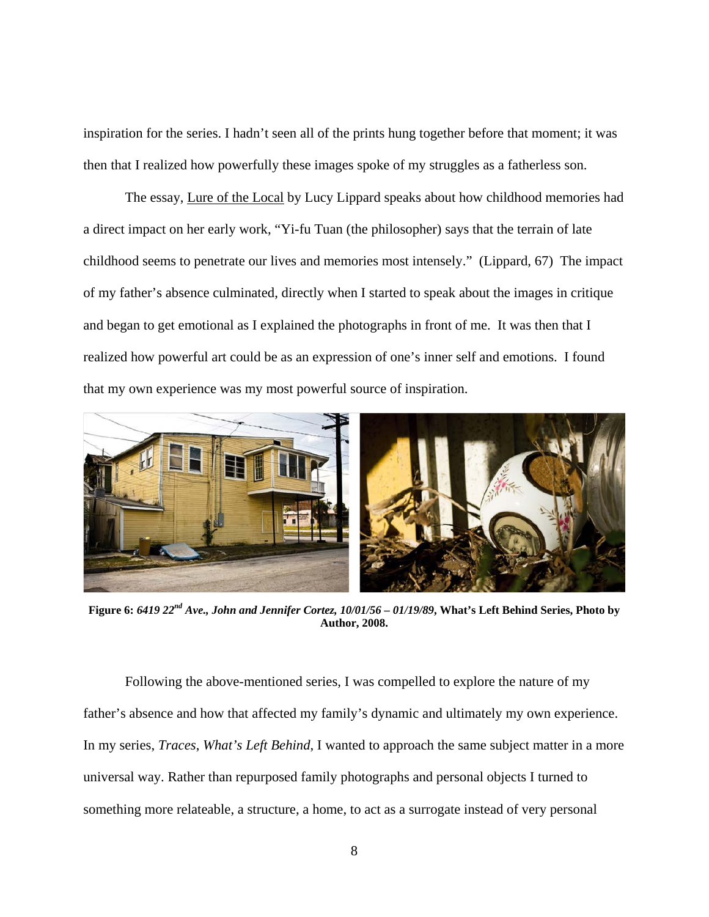<span id="page-15-0"></span>inspiration for the series. I hadn't seen all of the prints hung together before that moment; it was then that I realized how powerfully these images spoke of my struggles as a fatherless son.

The essay, Lure of the Local by Lucy Lippard speaks about how childhood memories had a direct impact on her early work, "Yi-fu Tuan (the philosopher) says that the terrain of late childhood seems to penetrate our lives and memories most intensely." (Lippard, 67) The impact of my father's absence culminated, directly when I started to speak about the images in critique and began to get emotional as I explained the photographs in front of me. It was then that I realized how powerful art could be as an expression of one's inner self and emotions. I found that my own experience was my most powerful source of inspiration.



**Figure 6:** *6419 22nd Ave., John and Jennifer Cortez, 10/01/56 – 01/19/89***, What's Left Behind Series, Photo by Author, 2008.** 

Following the above-mentioned series, I was compelled to explore the nature of my father's absence and how that affected my family's dynamic and ultimately my own experience. In my series, *Traces*, *What's Left Behind*, I wanted to approach the same subject matter in a more universal way. Rather than repurposed family photographs and personal objects I turned to something more relateable, a structure, a home, to act as a surrogate instead of very personal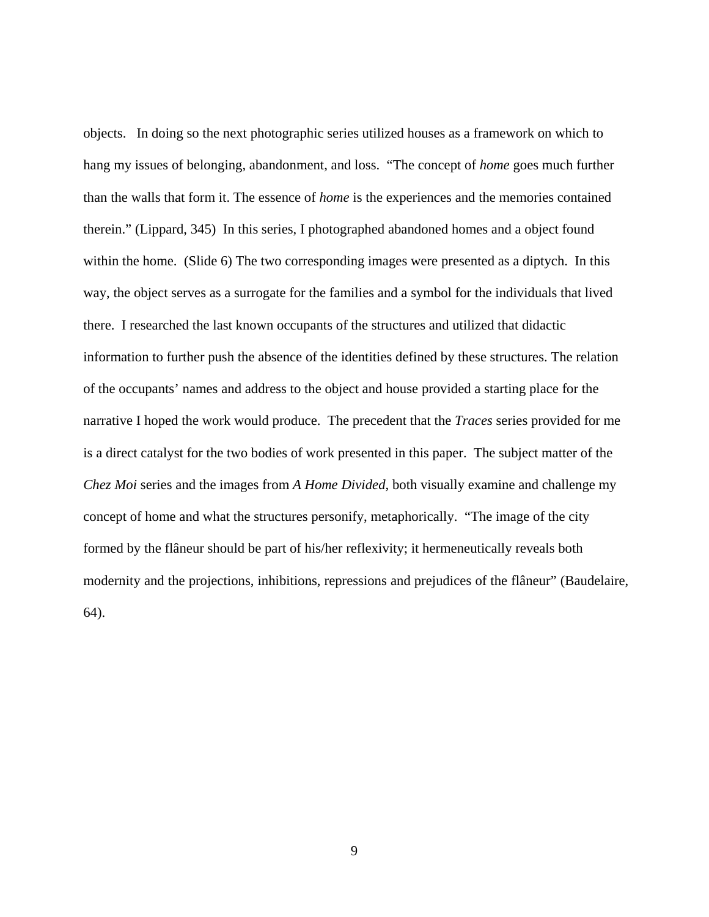objects. In doing so the next photographic series utilized houses as a framework on which to hang my issues of belonging, abandonment, and loss. "The concept of *home* goes much further than the walls that form it. The essence of *home* is the experiences and the memories contained therein." (Lippard, 345) In this series, I photographed abandoned homes and a object found within the home. (Slide 6) The two corresponding images were presented as a diptych. In this way, the object serves as a surrogate for the families and a symbol for the individuals that lived there. I researched the last known occupants of the structures and utilized that didactic information to further push the absence of the identities defined by these structures. The relation of the occupants' names and address to the object and house provided a starting place for the narrative I hoped the work would produce. The precedent that the *Traces* series provided for me is a direct catalyst for the two bodies of work presented in this paper. The subject matter of the *Chez Moi* series and the images from *A Home Divided*, both visually examine and challenge my concept of home and what the structures personify, metaphorically. "The image of the city formed by the flâneur should be part of his/her reflexivity; it hermeneutically reveals both modernity and the projections, inhibitions, repressions and prejudices of the flâneur" (Baudelaire, 64).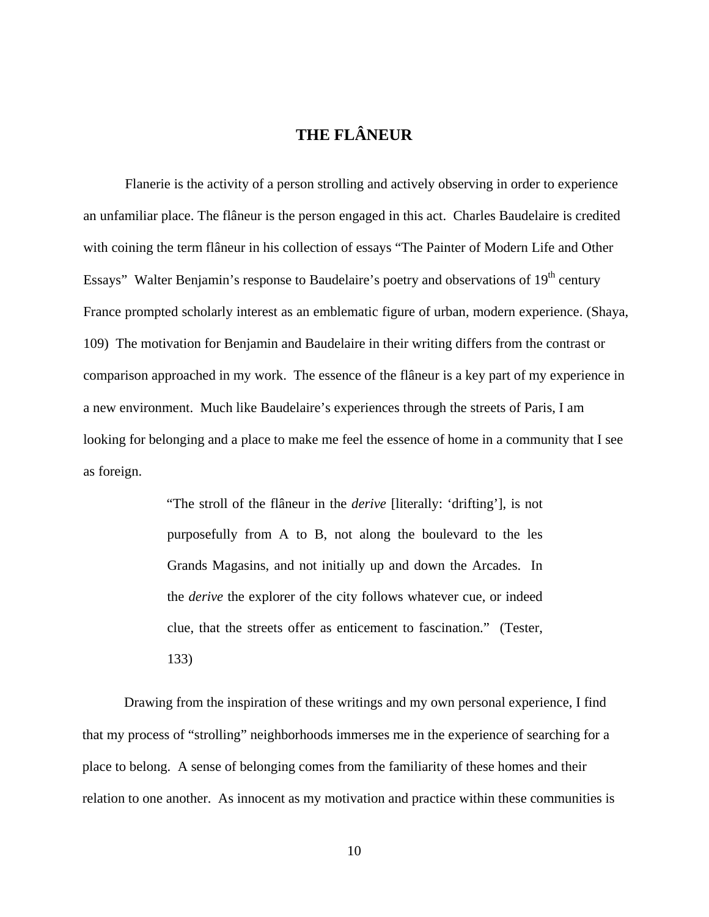# **THE FLÂNEUR**

<span id="page-17-0"></span>Flanerie is the activity of a person strolling and actively observing in order to experience an unfamiliar place. The flâneur is the person engaged in this act. Charles Baudelaire is credited with coining the term flâneur in his collection of essays "The Painter of Modern Life and Other Essays" Walter Benjamin's response to Baudelaire's poetry and observations of  $19<sup>th</sup>$  century France prompted scholarly interest as an emblematic figure of urban, modern experience. (Shaya, 109) The motivation for Benjamin and Baudelaire in their writing differs from the contrast or comparison approached in my work. The essence of the flâneur is a key part of my experience in a new environment. Much like Baudelaire's experiences through the streets of Paris, I am looking for belonging and a place to make me feel the essence of home in a community that I see as foreign.

> "The stroll of the flâneur in the *derive* [literally: 'drifting'], is not purposefully from A to B, not along the boulevard to the les Grands Magasins, and not initially up and down the Arcades. In the *derive* the explorer of the city follows whatever cue, or indeed clue, that the streets offer as enticement to fascination." (Tester, 133)

Drawing from the inspiration of these writings and my own personal experience, I find that my process of "strolling" neighborhoods immerses me in the experience of searching for a place to belong. A sense of belonging comes from the familiarity of these homes and their relation to one another. As innocent as my motivation and practice within these communities is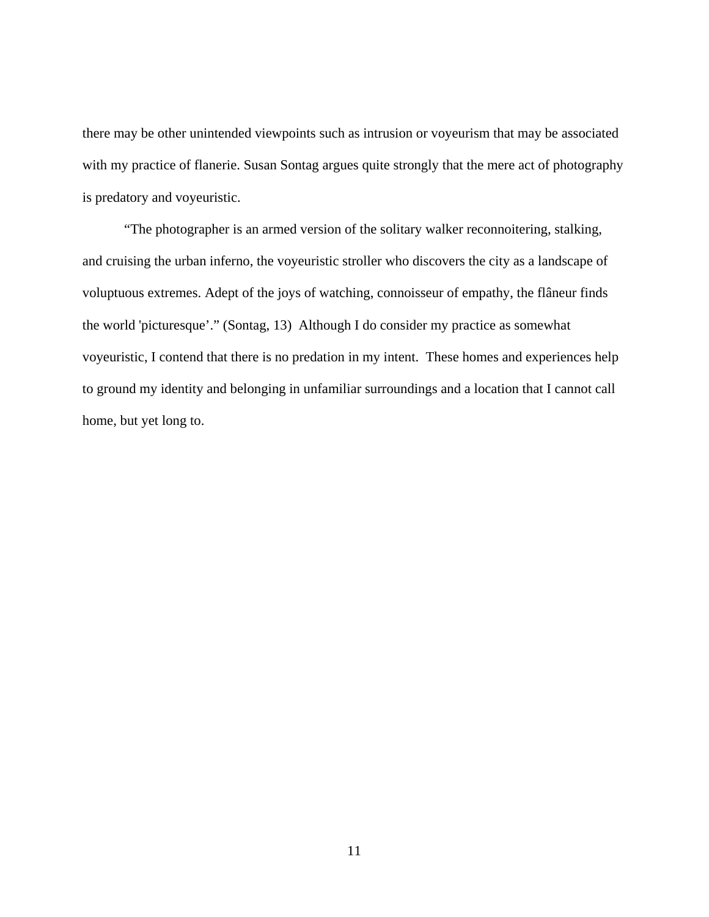there may be other unintended viewpoints such as intrusion or voyeurism that may be associated with my practice of flanerie. Susan Sontag argues quite strongly that the mere act of photography is predatory and voyeuristic.

"The photographer is an armed version of the solitary walker reconnoitering, stalking, and cruising the urban inferno, the voyeuristic stroller who discovers the city as a landscape of voluptuous extremes. Adept of the joys of watching, connoisseur of empathy, the flâneur finds the world 'picturesque'." (Sontag, 13) Although I do consider my practice as somewhat voyeuristic, I contend that there is no predation in my intent. These homes and experiences help to ground my identity and belonging in unfamiliar surroundings and a location that I cannot call home, but yet long to.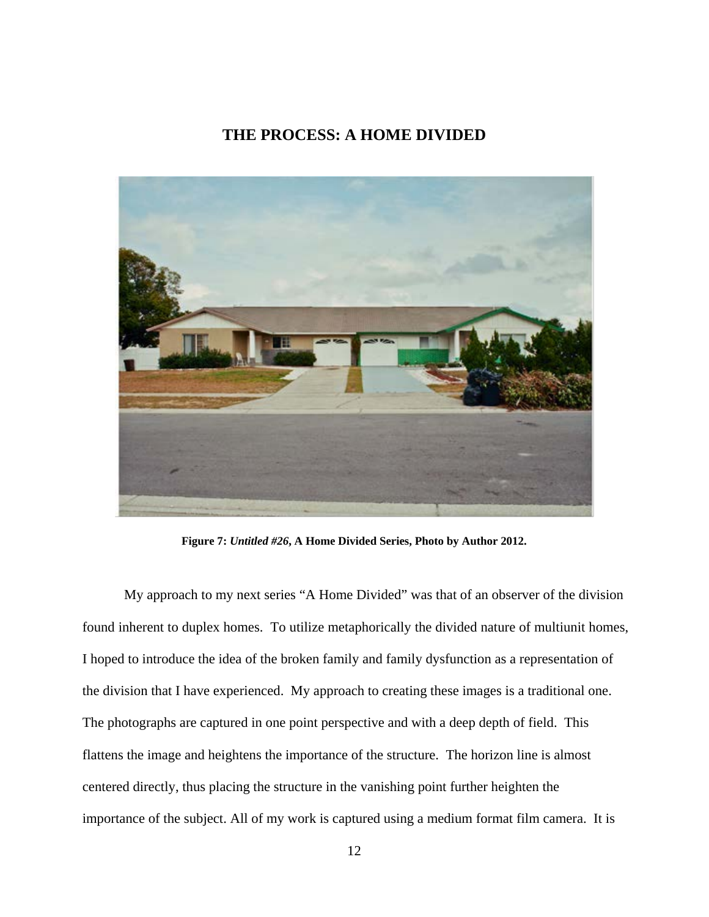#### **THE PROCESS: A HOME DIVIDED**

<span id="page-19-0"></span>

**Figure 7:** *Untitled #26***, A Home Divided Series, Photo by Author 2012.**

My approach to my next series "A Home Divided" was that of an observer of the division found inherent to duplex homes. To utilize metaphorically the divided nature of multiunit homes, I hoped to introduce the idea of the broken family and family dysfunction as a representation of the division that I have experienced. My approach to creating these images is a traditional one. The photographs are captured in one point perspective and with a deep depth of field. This flattens the image and heightens the importance of the structure. The horizon line is almost centered directly, thus placing the structure in the vanishing point further heighten the importance of the subject. All of my work is captured using a medium format film camera. It is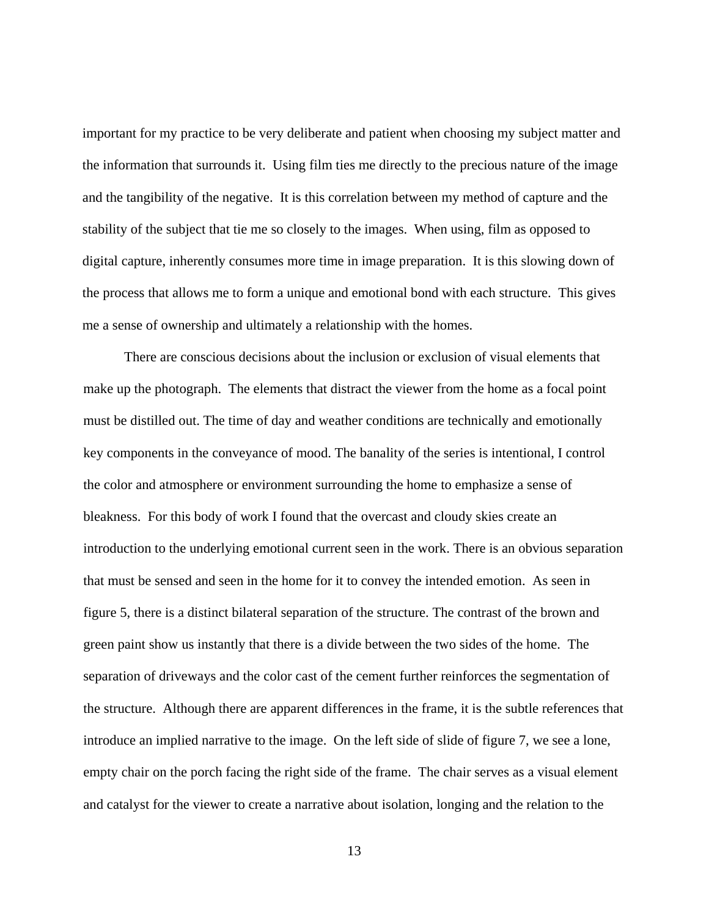important for my practice to be very deliberate and patient when choosing my subject matter and the information that surrounds it. Using film ties me directly to the precious nature of the image and the tangibility of the negative. It is this correlation between my method of capture and the stability of the subject that tie me so closely to the images. When using, film as opposed to digital capture, inherently consumes more time in image preparation. It is this slowing down of the process that allows me to form a unique and emotional bond with each structure. This gives me a sense of ownership and ultimately a relationship with the homes.

There are conscious decisions about the inclusion or exclusion of visual elements that make up the photograph. The elements that distract the viewer from the home as a focal point must be distilled out. The time of day and weather conditions are technically and emotionally key components in the conveyance of mood. The banality of the series is intentional, I control the color and atmosphere or environment surrounding the home to emphasize a sense of bleakness. For this body of work I found that the overcast and cloudy skies create an introduction to the underlying emotional current seen in the work. There is an obvious separation that must be sensed and seen in the home for it to convey the intended emotion. As seen in figure 5, there is a distinct bilateral separation of the structure. The contrast of the brown and green paint show us instantly that there is a divide between the two sides of the home. The separation of driveways and the color cast of the cement further reinforces the segmentation of the structure. Although there are apparent differences in the frame, it is the subtle references that introduce an implied narrative to the image. On the left side of slide of figure 7, we see a lone, empty chair on the porch facing the right side of the frame. The chair serves as a visual element and catalyst for the viewer to create a narrative about isolation, longing and the relation to the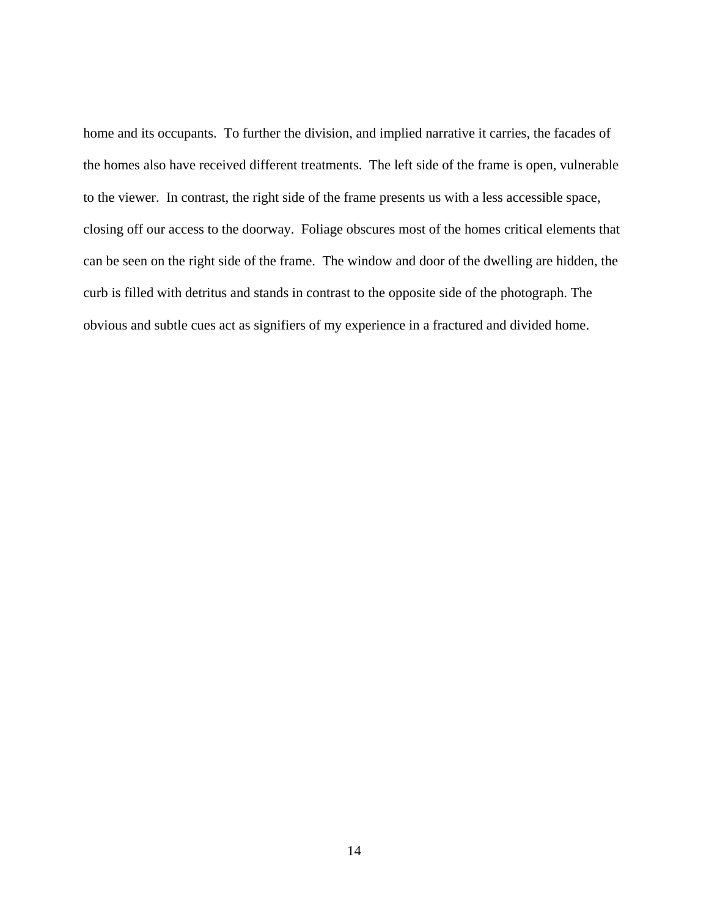home and its occupants. To further the division, and implied narrative it carries, the facades of the homes also have received different treatments. The left side of the frame is open, vulnerable to the viewer. In contrast, the right side of the frame presents us with a less accessible space, closing off our access to the doorway. Foliage obscures most of the homes critical elements that can be seen on the right side of the frame. The window and door of the dwelling are hidden, the curb is filled with detritus and stands in contrast to the opposite side of the photograph. The obvious and subtle cues act as signifiers of my experience in a fractured and divided home.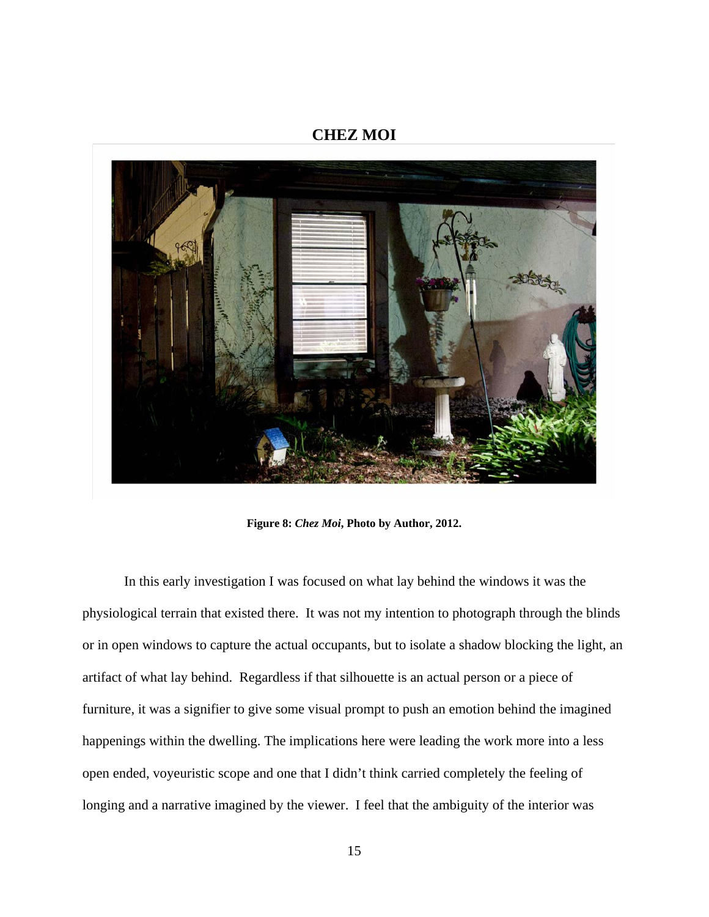#### **CHEZ MOI**

<span id="page-22-0"></span>

**Figure 8:** *Chez Moi***, Photo by Author, 2012.**

In this early investigation I was focused on what lay behind the windows it was the physiological terrain that existed there. It was not my intention to photograph through the blinds or in open windows to capture the actual occupants, but to isolate a shadow blocking the light, an artifact of what lay behind. Regardless if that silhouette is an actual person or a piece of furniture, it was a signifier to give some visual prompt to push an emotion behind the imagined happenings within the dwelling. The implications here were leading the work more into a less open ended, voyeuristic scope and one that I didn't think carried completely the feeling of longing and a narrative imagined by the viewer. I feel that the ambiguity of the interior was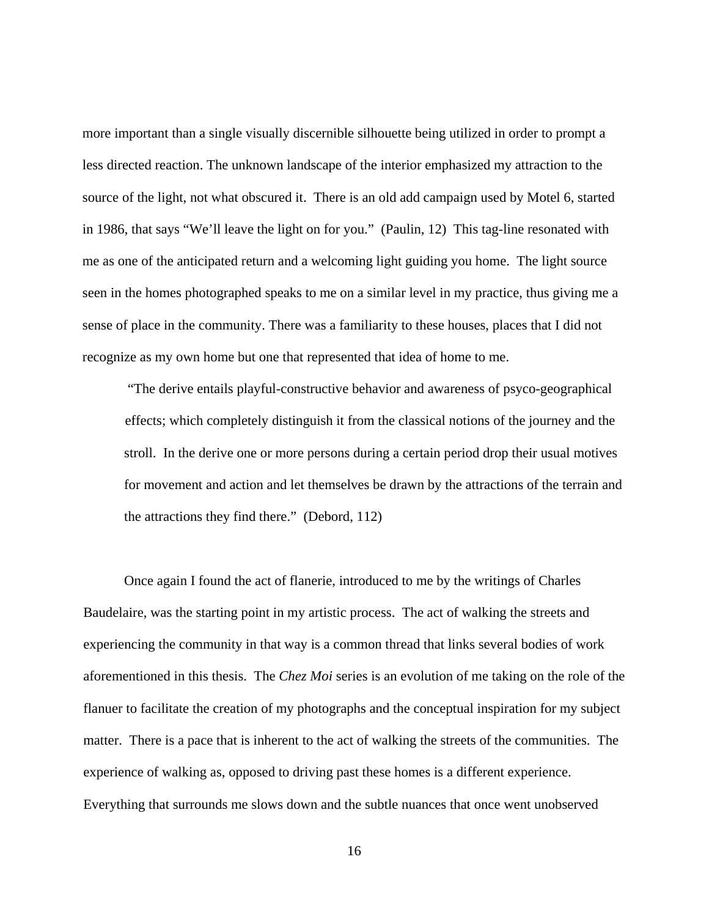more important than a single visually discernible silhouette being utilized in order to prompt a less directed reaction. The unknown landscape of the interior emphasized my attraction to the source of the light, not what obscured it. There is an old add campaign used by Motel 6, started in 1986, that says "We'll leave the light on for you." (Paulin, 12) This tag-line resonated with me as one of the anticipated return and a welcoming light guiding you home. The light source seen in the homes photographed speaks to me on a similar level in my practice, thus giving me a sense of place in the community. There was a familiarity to these houses, places that I did not recognize as my own home but one that represented that idea of home to me.

"The derive entails playful-constructive behavior and awareness of psyco-geographical effects; which completely distinguish it from the classical notions of the journey and the stroll. In the derive one or more persons during a certain period drop their usual motives for movement and action and let themselves be drawn by the attractions of the terrain and the attractions they find there." (Debord, 112)

Once again I found the act of flanerie, introduced to me by the writings of Charles Baudelaire, was the starting point in my artistic process. The act of walking the streets and experiencing the community in that way is a common thread that links several bodies of work aforementioned in this thesis. The *Chez Moi* series is an evolution of me taking on the role of the flanuer to facilitate the creation of my photographs and the conceptual inspiration for my subject matter. There is a pace that is inherent to the act of walking the streets of the communities. The experience of walking as, opposed to driving past these homes is a different experience. Everything that surrounds me slows down and the subtle nuances that once went unobserved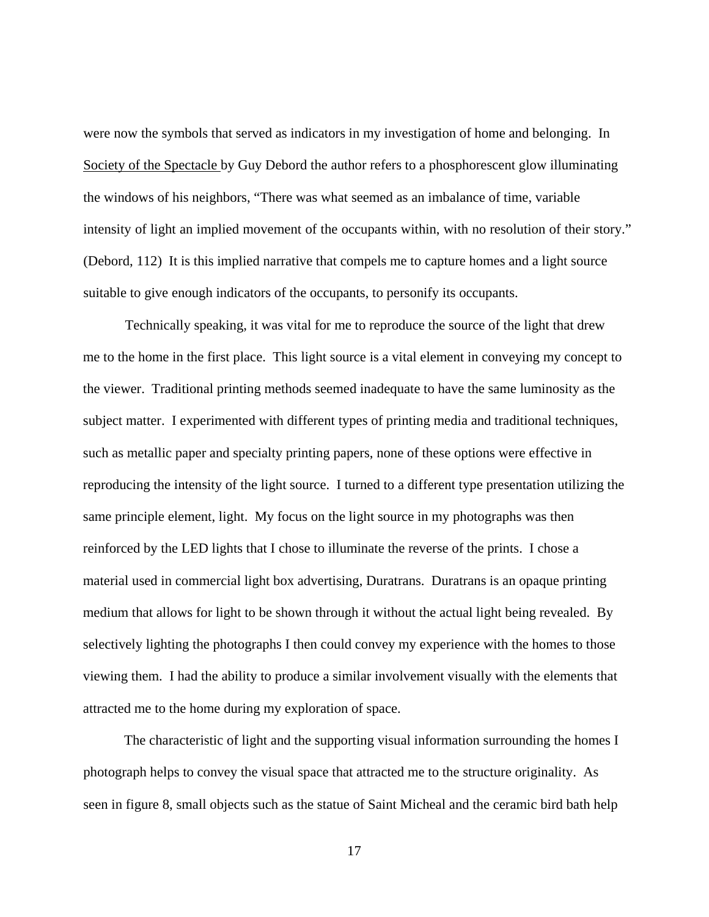were now the symbols that served as indicators in my investigation of home and belonging. In Society of the Spectacle by Guy Debord the author refers to a phosphorescent glow illuminating the windows of his neighbors, "There was what seemed as an imbalance of time, variable intensity of light an implied movement of the occupants within, with no resolution of their story." (Debord, 112) It is this implied narrative that compels me to capture homes and a light source suitable to give enough indicators of the occupants, to personify its occupants.

Technically speaking, it was vital for me to reproduce the source of the light that drew me to the home in the first place. This light source is a vital element in conveying my concept to the viewer. Traditional printing methods seemed inadequate to have the same luminosity as the subject matter. I experimented with different types of printing media and traditional techniques, such as metallic paper and specialty printing papers, none of these options were effective in reproducing the intensity of the light source. I turned to a different type presentation utilizing the same principle element, light. My focus on the light source in my photographs was then reinforced by the LED lights that I chose to illuminate the reverse of the prints. I chose a material used in commercial light box advertising, Duratrans. Duratrans is an opaque printing medium that allows for light to be shown through it without the actual light being revealed. By selectively lighting the photographs I then could convey my experience with the homes to those viewing them. I had the ability to produce a similar involvement visually with the elements that attracted me to the home during my exploration of space.

The characteristic of light and the supporting visual information surrounding the homes I photograph helps to convey the visual space that attracted me to the structure originality. As seen in figure 8, small objects such as the statue of Saint Micheal and the ceramic bird bath help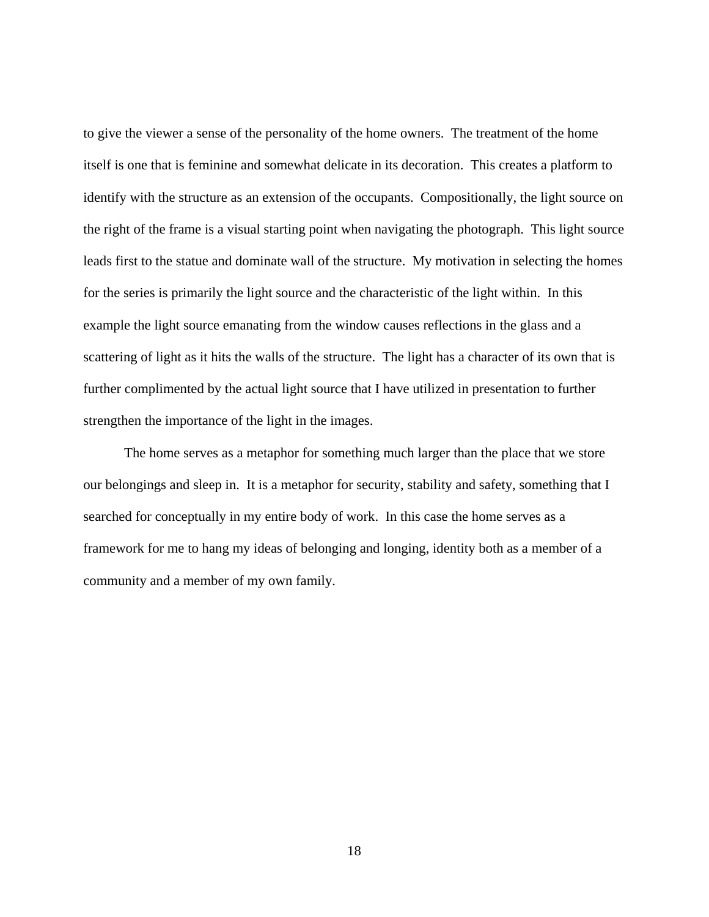to give the viewer a sense of the personality of the home owners. The treatment of the home itself is one that is feminine and somewhat delicate in its decoration. This creates a platform to identify with the structure as an extension of the occupants. Compositionally, the light source on the right of the frame is a visual starting point when navigating the photograph. This light source leads first to the statue and dominate wall of the structure. My motivation in selecting the homes for the series is primarily the light source and the characteristic of the light within. In this example the light source emanating from the window causes reflections in the glass and a scattering of light as it hits the walls of the structure. The light has a character of its own that is further complimented by the actual light source that I have utilized in presentation to further strengthen the importance of the light in the images.

The home serves as a metaphor for something much larger than the place that we store our belongings and sleep in. It is a metaphor for security, stability and safety, something that I searched for conceptually in my entire body of work. In this case the home serves as a framework for me to hang my ideas of belonging and longing, identity both as a member of a community and a member of my own family.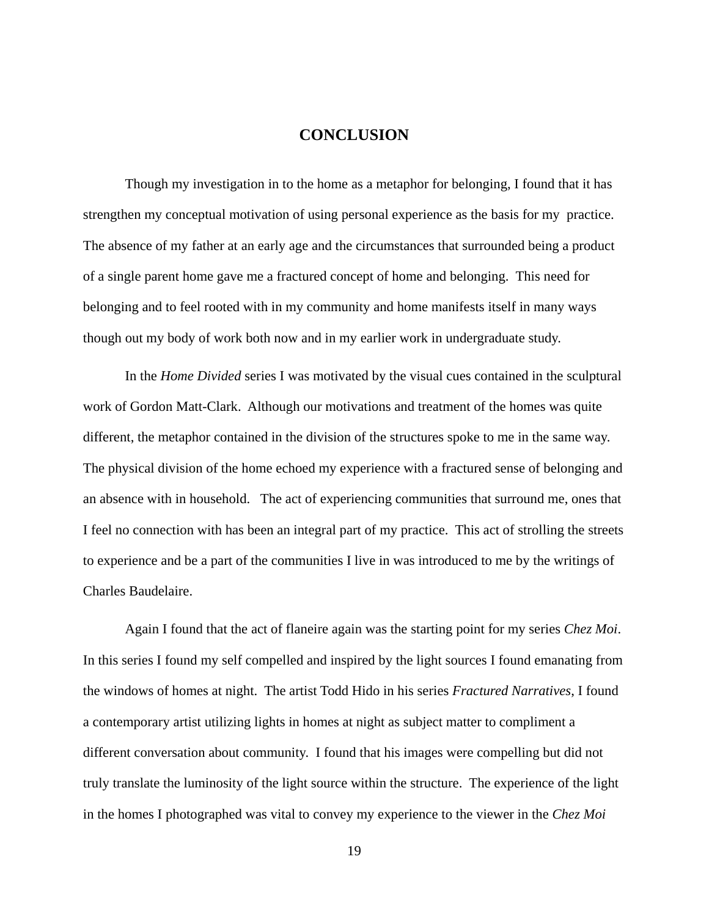#### **CONCLUSION**

<span id="page-26-0"></span>Though my investigation in to the home as a metaphor for belonging, I found that it has strengthen my conceptual motivation of using personal experience as the basis for my practice. The absence of my father at an early age and the circumstances that surrounded being a product of a single parent home gave me a fractured concept of home and belonging. This need for belonging and to feel rooted with in my community and home manifests itself in many ways though out my body of work both now and in my earlier work in undergraduate study.

In the *Home Divided* series I was motivated by the visual cues contained in the sculptural work of Gordon Matt-Clark. Although our motivations and treatment of the homes was quite different, the metaphor contained in the division of the structures spoke to me in the same way. The physical division of the home echoed my experience with a fractured sense of belonging and an absence with in household. The act of experiencing communities that surround me, ones that I feel no connection with has been an integral part of my practice. This act of strolling the streets to experience and be a part of the communities I live in was introduced to me by the writings of Charles Baudelaire.

Again I found that the act of flaneire again was the starting point for my series *Chez Moi*. In this series I found my self compelled and inspired by the light sources I found emanating from the windows of homes at night. The artist Todd Hido in his series *Fractured Narratives*, I found a contemporary artist utilizing lights in homes at night as subject matter to compliment a different conversation about community. I found that his images were compelling but did not truly translate the luminosity of the light source within the structure. The experience of the light in the homes I photographed was vital to convey my experience to the viewer in the *Chez Moi*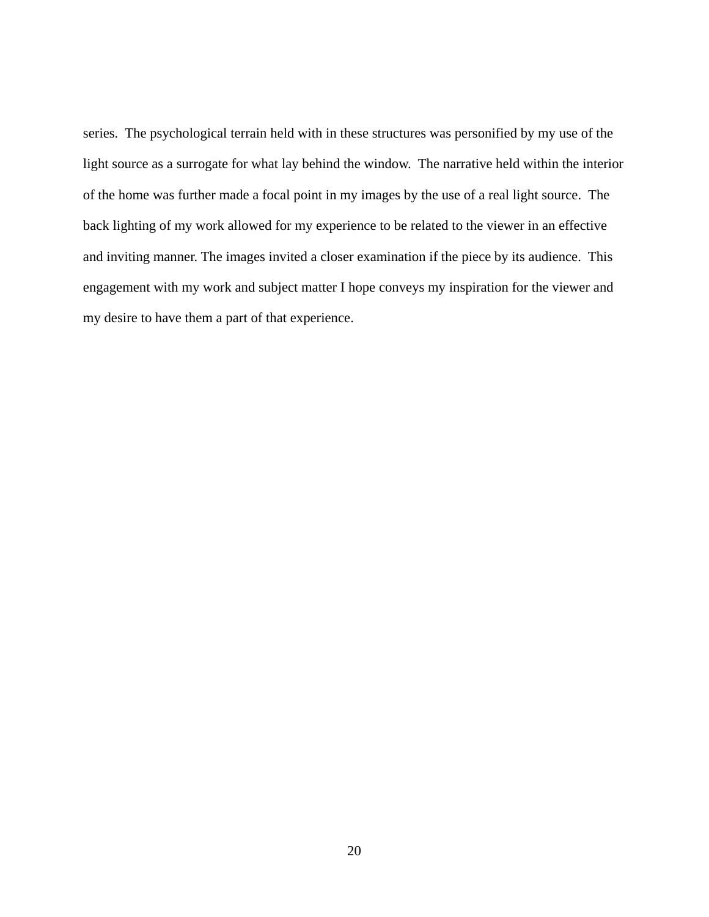series. The psychological terrain held with in these structures was personified by my use of the light source as a surrogate for what lay behind the window. The narrative held within the interior of the home was further made a focal point in my images by the use of a real light source. The back lighting of my work allowed for my experience to be related to the viewer in an effective and inviting manner. The images invited a closer examination if the piece by its audience. This engagement with my work and subject matter I hope conveys my inspiration for the viewer and my desire to have them a part of that experience.